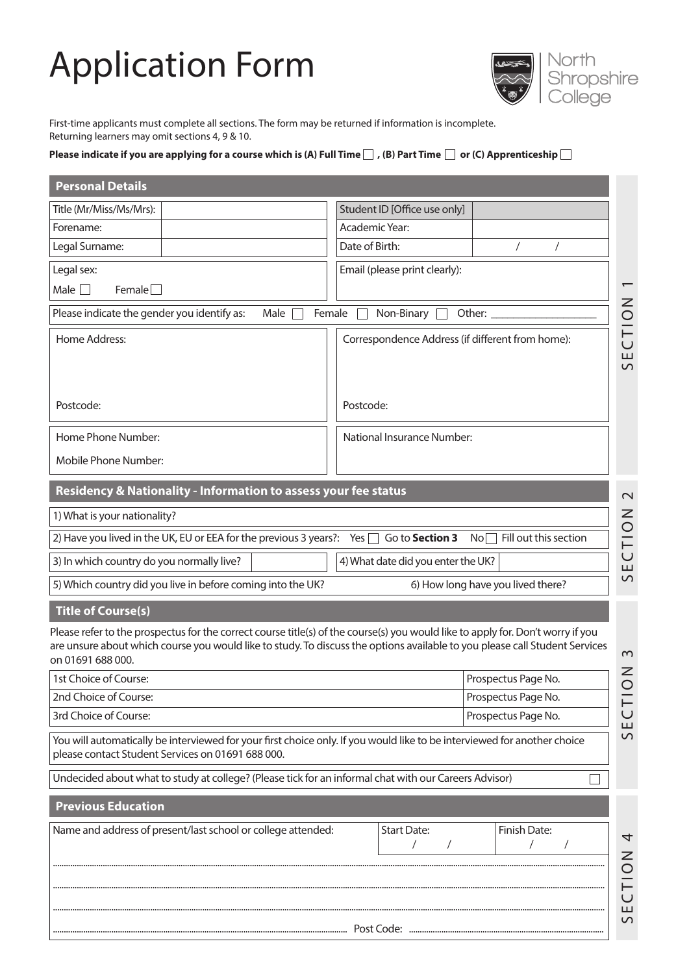# Application Form



First-time applicants must complete all sections. The form may be returned if information is incomplete. Returning learners may omit sections 4, 9 & 10.

## Please indicate if you are applying for a course which is (A) Full Time  $\Box$  , (B) Part Time  $\Box$  or (C) Apprenticeship  $\Box$

| <b>Personal Details</b>                                                                                                                                                                                                                                                             |                                                                     |  |  |
|-------------------------------------------------------------------------------------------------------------------------------------------------------------------------------------------------------------------------------------------------------------------------------------|---------------------------------------------------------------------|--|--|
| Title (Mr/Miss/Ms/Mrs):                                                                                                                                                                                                                                                             | Student ID [Office use only]                                        |  |  |
| Forename:                                                                                                                                                                                                                                                                           | Academic Year:                                                      |  |  |
| Legal Surname:                                                                                                                                                                                                                                                                      | Date of Birth:<br>$\sqrt{2}$                                        |  |  |
| Legal sex:                                                                                                                                                                                                                                                                          | Email (please print clearly):                                       |  |  |
| Male [<br>$F$ emale $\Box$                                                                                                                                                                                                                                                          |                                                                     |  |  |
| Please indicate the gender you identify as:<br>Male                                                                                                                                                                                                                                 | ZOILO<br>Non-Binary<br>Female<br>Other:                             |  |  |
| Home Address:                                                                                                                                                                                                                                                                       | Correspondence Address (if different from home):<br>SE <sub>i</sub> |  |  |
| Postcode:                                                                                                                                                                                                                                                                           | Postcode:                                                           |  |  |
| Home Phone Number:                                                                                                                                                                                                                                                                  | <b>National Insurance Number:</b>                                   |  |  |
| Mobile Phone Number:                                                                                                                                                                                                                                                                |                                                                     |  |  |
| Residency & Nationality - Information to assess your fee status<br>$\mathbf{\Omega}$                                                                                                                                                                                                |                                                                     |  |  |
| 1) What is your nationality?                                                                                                                                                                                                                                                        |                                                                     |  |  |
| 2) Have you lived in the UK, EU or EEA for the previous 3 years?: Yes $\Box$                                                                                                                                                                                                        | ECTION<br>$No \Box$ Fill out this section<br>Go to Section 3        |  |  |
| 3) In which country do you normally live?<br>4) What date did you enter the UK?                                                                                                                                                                                                     |                                                                     |  |  |
| $\overline{C}$<br>5) Which country did you live in before coming into the UK?<br>6) How long have you lived there?                                                                                                                                                                  |                                                                     |  |  |
| <b>Title of Course(s)</b>                                                                                                                                                                                                                                                           |                                                                     |  |  |
| Please refer to the prospectus for the correct course title(s) of the course(s) you would like to apply for. Don't worry if you<br>are unsure about which course you would like to study. To discuss the options available to you please call Student Services<br>on 01691 688 000. | $\sim$                                                              |  |  |
| 1st Choice of Course:                                                                                                                                                                                                                                                               | $\frac{2}{\sqrt{2}}$<br>Prospectus Page No.                         |  |  |
| Prospectus Page No.<br>2nd Choice of Course:                                                                                                                                                                                                                                        |                                                                     |  |  |
| 3rd Choice of Course:<br>Prospectus Page No.                                                                                                                                                                                                                                        |                                                                     |  |  |
| ш<br>$\mathsf{S}$<br>You will automatically be interviewed for your first choice only. If you would like to be interviewed for another choice<br>please contact Student Services on 01691 688 000.                                                                                  |                                                                     |  |  |
| Undecided about what to study at college? (Please tick for an informal chat with our Careers Advisor)                                                                                                                                                                               |                                                                     |  |  |
| <b>Previous Education</b>                                                                                                                                                                                                                                                           |                                                                     |  |  |
| Name and address of present/last school or college attended:                                                                                                                                                                                                                        | <b>Start Date:</b><br>Finish Date:<br>4                             |  |  |
|                                                                                                                                                                                                                                                                                     | <b>NOL</b>                                                          |  |  |
|                                                                                                                                                                                                                                                                                     | $\cup$<br>Ш                                                         |  |  |
|                                                                                                                                                                                                                                                                                     | S                                                                   |  |  |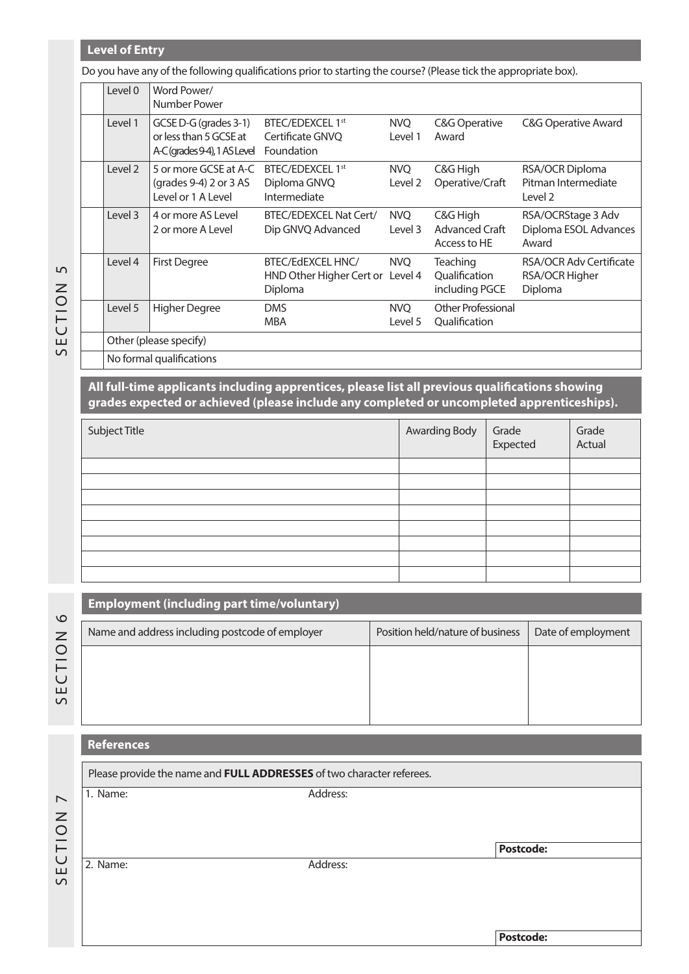## **Level of Entry**

Do you have any of the following qualifications prior to starting the course? (Please tick the appropriate box).

| Level 0 | Word Power/<br>Number Power                                                    |                                                                  |                       |                                                    |                                                             |
|---------|--------------------------------------------------------------------------------|------------------------------------------------------------------|-----------------------|----------------------------------------------------|-------------------------------------------------------------|
| Level 1 | GCSE D-G (grades 3-1)<br>or less than 5 GCSE at<br>A-C(grades 9-4), 1 AS Level | BTEC/EDEXCEL 1st<br>Certificate GNVQ<br>Foundation               | NVO<br>Level 1        | C&G Operative<br>Award                             | <b>C&amp;G Operative Award</b>                              |
| Level 2 | 5 or more GCSE at A-C<br>(grades $9-4$ ) 2 or 3 AS<br>Level or 1 A Level       | BTEC/EDEXCEL 1st<br>Diploma GNVQ<br>Intermediate                 | NVO<br>Level 2        | C&G High<br>Operative/Craft                        | RSA/OCR Diploma<br>Pitman Intermediate<br>Level 2           |
| Level 3 | 4 or more AS Level<br>2 or more A Level                                        | BTEC/EDEXCEL Nat Cert/<br>Dip GNVQ Advanced                      | <b>NVO</b><br>Level 3 | C&G High<br><b>Advanced Craft</b><br>Access to HE  | RSA/OCRStage 3 Adv<br>Diploma ESOL Advances<br>Award        |
| Level 4 | <b>First Degree</b>                                                            | BTEC/EdEXCEL HNC/<br>HND Other Higher Cert or Level 4<br>Diploma | <b>NVQ</b>            | <b>Teaching</b><br>Oualification<br>including PGCE | <b>RSA/OCR Adv Certificate</b><br>RSA/OCR Higher<br>Diploma |
| Level 5 | <b>Higher Degree</b>                                                           | <b>DMS</b><br><b>MBA</b>                                         | <b>NVQ</b><br>Level 5 | <b>Other Professional</b><br>Qualification         |                                                             |
|         | Other (please specify)                                                         |                                                                  |                       |                                                    |                                                             |
|         | $M = 1$ and $M = 12$ and $M = 12$                                              |                                                                  |                       |                                                    |                                                             |

 $\overline{5}$ SECTION 5 SECTION

No formal qualifications

**Employment (including part time/voluntary)**

**All full-time applicants including apprentices, please list all previous qualifications showing grades expected or achieved (please include any completed or uncompleted apprenticeships).**

| Subject Title | <b>Awarding Body</b> | Grade<br>Expected | Grade<br>Actual |
|---------------|----------------------|-------------------|-----------------|
|               |                      |                   |                 |
|               |                      |                   |                 |
|               |                      |                   |                 |
|               |                      |                   |                 |
|               |                      |                   |                 |
|               |                      |                   |                 |
|               |                      |                   |                 |
|               |                      |                   |                 |

Name and address including postcode of employer | Position held/nature of business | Date of employment

| ഥ      |
|--------|
| Z      |
| O      |
| ⊢      |
| $\cup$ |
| ш      |
| ഗ      |

# **References**

|                          | Please provide the name and FULL ADDRESSES of two character referees. |          |                  |
|--------------------------|-----------------------------------------------------------------------|----------|------------------|
| $\overline{\phantom{0}}$ | 1. Name:                                                              | Address: |                  |
| $\mathsf{Z}$             |                                                                       |          |                  |
| $\circ$                  |                                                                       |          |                  |
| $\overline{C}$           |                                                                       |          | <b>Postcode:</b> |
| ш<br>$\Omega$            | 2. Name:                                                              | Address: |                  |
|                          |                                                                       |          |                  |
|                          |                                                                       |          |                  |
|                          |                                                                       |          | <b>Postcode:</b> |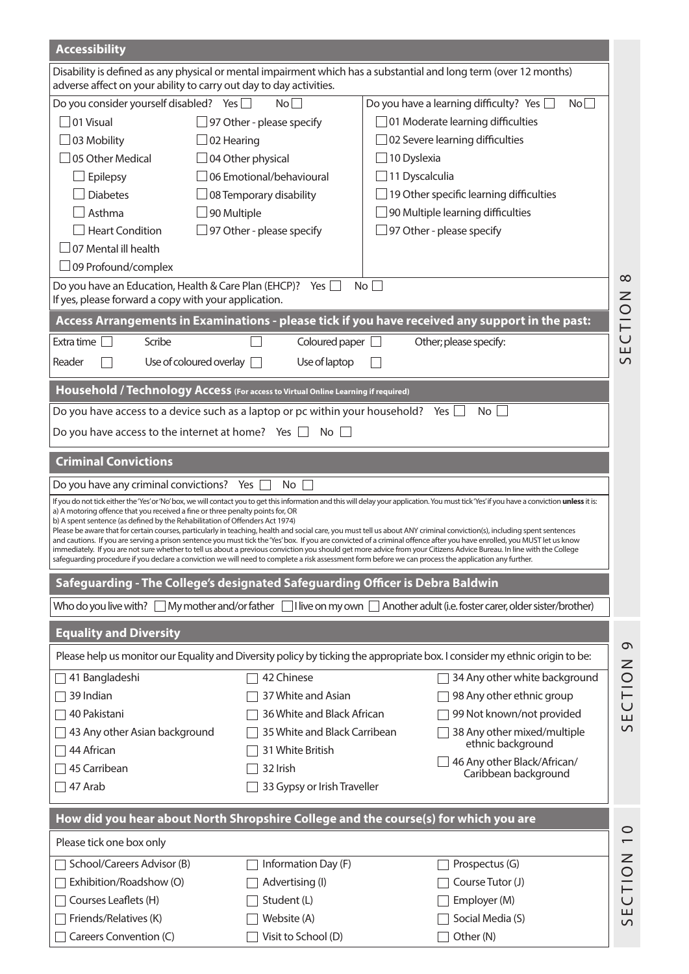| <b>Accessibility</b>                                                                                                                                                                                                                                                                                                                                                                                                                                                                                                                                                                                                                                                                                                                                                                                                                                                                                                                                                                                                                                      |                              |                                                                                                                             |  |
|-----------------------------------------------------------------------------------------------------------------------------------------------------------------------------------------------------------------------------------------------------------------------------------------------------------------------------------------------------------------------------------------------------------------------------------------------------------------------------------------------------------------------------------------------------------------------------------------------------------------------------------------------------------------------------------------------------------------------------------------------------------------------------------------------------------------------------------------------------------------------------------------------------------------------------------------------------------------------------------------------------------------------------------------------------------|------------------------------|-----------------------------------------------------------------------------------------------------------------------------|--|
| adverse affect on your ability to carry out day to day activities.                                                                                                                                                                                                                                                                                                                                                                                                                                                                                                                                                                                                                                                                                                                                                                                                                                                                                                                                                                                        |                              | Disability is defined as any physical or mental impairment which has a substantial and long term (over 12 months)           |  |
| Do you consider yourself disabled? Yes                                                                                                                                                                                                                                                                                                                                                                                                                                                                                                                                                                                                                                                                                                                                                                                                                                                                                                                                                                                                                    | No                           | Do you have a learning difficulty? Yes<br>No                                                                                |  |
| 01 Visual                                                                                                                                                                                                                                                                                                                                                                                                                                                                                                                                                                                                                                                                                                                                                                                                                                                                                                                                                                                                                                                 | 97 Other - please specify    | 01 Moderate learning difficulties                                                                                           |  |
| $\Box$ 03 Mobility<br>02 Hearing                                                                                                                                                                                                                                                                                                                                                                                                                                                                                                                                                                                                                                                                                                                                                                                                                                                                                                                                                                                                                          |                              | 02 Severe learning difficulties                                                                                             |  |
| 05 Other Medical                                                                                                                                                                                                                                                                                                                                                                                                                                                                                                                                                                                                                                                                                                                                                                                                                                                                                                                                                                                                                                          | 04 Other physical            | 10 Dyslexia                                                                                                                 |  |
| Epilepsy                                                                                                                                                                                                                                                                                                                                                                                                                                                                                                                                                                                                                                                                                                                                                                                                                                                                                                                                                                                                                                                  | 06 Emotional/behavioural     | 11 Dyscalculia                                                                                                              |  |
| <b>Diabetes</b>                                                                                                                                                                                                                                                                                                                                                                                                                                                                                                                                                                                                                                                                                                                                                                                                                                                                                                                                                                                                                                           | 08 Temporary disability      | 19 Other specific learning difficulties                                                                                     |  |
| Asthma<br>90 Multiple                                                                                                                                                                                                                                                                                                                                                                                                                                                                                                                                                                                                                                                                                                                                                                                                                                                                                                                                                                                                                                     |                              | 90 Multiple learning difficulties                                                                                           |  |
| <b>Heart Condition</b>                                                                                                                                                                                                                                                                                                                                                                                                                                                                                                                                                                                                                                                                                                                                                                                                                                                                                                                                                                                                                                    | 97 Other - please specify    | $\Box$ 97 Other - please specify                                                                                            |  |
| $\Box$ 07 Mental ill health                                                                                                                                                                                                                                                                                                                                                                                                                                                                                                                                                                                                                                                                                                                                                                                                                                                                                                                                                                                                                               |                              |                                                                                                                             |  |
| $\Box$ 09 Profound/complex                                                                                                                                                                                                                                                                                                                                                                                                                                                                                                                                                                                                                                                                                                                                                                                                                                                                                                                                                                                                                                |                              |                                                                                                                             |  |
| Do you have an Education, Health & Care Plan (EHCP)?                                                                                                                                                                                                                                                                                                                                                                                                                                                                                                                                                                                                                                                                                                                                                                                                                                                                                                                                                                                                      | Yes                          | $\infty$<br>No                                                                                                              |  |
| If yes, please forward a copy with your application.                                                                                                                                                                                                                                                                                                                                                                                                                                                                                                                                                                                                                                                                                                                                                                                                                                                                                                                                                                                                      |                              | CTION                                                                                                                       |  |
|                                                                                                                                                                                                                                                                                                                                                                                                                                                                                                                                                                                                                                                                                                                                                                                                                                                                                                                                                                                                                                                           |                              | Access Arrangements in Examinations - please tick if you have received any support in the past:                             |  |
| Extra time<br>Scribe                                                                                                                                                                                                                                                                                                                                                                                                                                                                                                                                                                                                                                                                                                                                                                                                                                                                                                                                                                                                                                      | Coloured paper $\square$     | Other; please specify:<br>Ш                                                                                                 |  |
| Use of coloured overlay [<br>Reader                                                                                                                                                                                                                                                                                                                                                                                                                                                                                                                                                                                                                                                                                                                                                                                                                                                                                                                                                                                                                       | Use of laptop                | $\overline{C}$                                                                                                              |  |
| Household / Technology Access (For access to Virtual Online Learning if required)                                                                                                                                                                                                                                                                                                                                                                                                                                                                                                                                                                                                                                                                                                                                                                                                                                                                                                                                                                         |                              |                                                                                                                             |  |
| Do you have access to a device such as a laptop or pc within your household? Yes                                                                                                                                                                                                                                                                                                                                                                                                                                                                                                                                                                                                                                                                                                                                                                                                                                                                                                                                                                          |                              | No                                                                                                                          |  |
| Do you have access to the internet at home? Yes $\Box$                                                                                                                                                                                                                                                                                                                                                                                                                                                                                                                                                                                                                                                                                                                                                                                                                                                                                                                                                                                                    | $No$ $\Box$                  |                                                                                                                             |  |
| <b>Criminal Convictions</b>                                                                                                                                                                                                                                                                                                                                                                                                                                                                                                                                                                                                                                                                                                                                                                                                                                                                                                                                                                                                                               |                              |                                                                                                                             |  |
| Do you have any criminal convictions?                                                                                                                                                                                                                                                                                                                                                                                                                                                                                                                                                                                                                                                                                                                                                                                                                                                                                                                                                                                                                     | Yes<br>No                    |                                                                                                                             |  |
| If you do not tick either the 'Yes' or 'No' box, we will contact you to get this information and this will delay your application. You must tick 'Yes' if you have a conviction unless it is:<br>a) A motoring offence that you received a fine or three penalty points for, OR<br>b) A spent sentence (as defined by the Rehabilitation of Offenders Act 1974)<br>Please be aware that for certain courses, particularly in teaching, health and social care, you must tell us about ANY criminal conviction(s), including spent sentences<br>and cautions. If you are serving a prison sentence you must tick the 'Yes' box. If you are convicted of a criminal offence after you have enrolled, you MUST let us know<br>immediately. If you are not sure whether to tell us about a previous conviction you should get more advice from your Citizens Advice Bureau. In line with the College<br>safequarding procedure if you declare a conviction we will need to complete a risk assessment form before we can process the application any further. |                              |                                                                                                                             |  |
| Safeguarding - The College's designated Safeguarding Officer is Debra Baldwin                                                                                                                                                                                                                                                                                                                                                                                                                                                                                                                                                                                                                                                                                                                                                                                                                                                                                                                                                                             |                              |                                                                                                                             |  |
| Who do you live with?                                                                                                                                                                                                                                                                                                                                                                                                                                                                                                                                                                                                                                                                                                                                                                                                                                                                                                                                                                                                                                     |                              | Ny mother and/or father   I live on my own   Another adult (i.e. foster carer, older sister/brother)                        |  |
| <b>Equality and Diversity</b>                                                                                                                                                                                                                                                                                                                                                                                                                                                                                                                                                                                                                                                                                                                                                                                                                                                                                                                                                                                                                             |                              | $\sigma$                                                                                                                    |  |
|                                                                                                                                                                                                                                                                                                                                                                                                                                                                                                                                                                                                                                                                                                                                                                                                                                                                                                                                                                                                                                                           |                              | Please help us monitor our Equality and Diversity policy by ticking the appropriate box. I consider my ethnic origin to be: |  |
| 41 Bangladeshi                                                                                                                                                                                                                                                                                                                                                                                                                                                                                                                                                                                                                                                                                                                                                                                                                                                                                                                                                                                                                                            | 42 Chinese                   | 34 Any other white background                                                                                               |  |
| 39 Indian                                                                                                                                                                                                                                                                                                                                                                                                                                                                                                                                                                                                                                                                                                                                                                                                                                                                                                                                                                                                                                                 | 37 White and Asian           | 98 Any other ethnic group                                                                                                   |  |
| 40 Pakistani                                                                                                                                                                                                                                                                                                                                                                                                                                                                                                                                                                                                                                                                                                                                                                                                                                                                                                                                                                                                                                              | 36 White and Black African   | SECTION<br>99 Not known/not provided                                                                                        |  |
| 43 Any other Asian background                                                                                                                                                                                                                                                                                                                                                                                                                                                                                                                                                                                                                                                                                                                                                                                                                                                                                                                                                                                                                             | 35 White and Black Carribean | 38 Any other mixed/multiple                                                                                                 |  |
| 44 African                                                                                                                                                                                                                                                                                                                                                                                                                                                                                                                                                                                                                                                                                                                                                                                                                                                                                                                                                                                                                                                | 31 White British             | ethnic background                                                                                                           |  |
| 45 Carribean                                                                                                                                                                                                                                                                                                                                                                                                                                                                                                                                                                                                                                                                                                                                                                                                                                                                                                                                                                                                                                              | 32 Irish                     | 46 Any other Black/African/<br>Caribbean background                                                                         |  |
| 47 Arab                                                                                                                                                                                                                                                                                                                                                                                                                                                                                                                                                                                                                                                                                                                                                                                                                                                                                                                                                                                                                                                   | 33 Gypsy or Irish Traveller  |                                                                                                                             |  |
| How did you hear about North Shropshire College and the course(s) for which you are                                                                                                                                                                                                                                                                                                                                                                                                                                                                                                                                                                                                                                                                                                                                                                                                                                                                                                                                                                       |                              |                                                                                                                             |  |
| Please tick one box only                                                                                                                                                                                                                                                                                                                                                                                                                                                                                                                                                                                                                                                                                                                                                                                                                                                                                                                                                                                                                                  |                              | $\circ$                                                                                                                     |  |
| School/Careers Advisor (B)                                                                                                                                                                                                                                                                                                                                                                                                                                                                                                                                                                                                                                                                                                                                                                                                                                                                                                                                                                                                                                | Information Day (F)          | Prospectus (G)                                                                                                              |  |
| Exhibition/Roadshow (O)                                                                                                                                                                                                                                                                                                                                                                                                                                                                                                                                                                                                                                                                                                                                                                                                                                                                                                                                                                                                                                   |                              |                                                                                                                             |  |
|                                                                                                                                                                                                                                                                                                                                                                                                                                                                                                                                                                                                                                                                                                                                                                                                                                                                                                                                                                                                                                                           | Advertising (I)              | <b>NOLLO</b><br>Course Tutor (J)                                                                                            |  |
| Courses Leaflets (H)                                                                                                                                                                                                                                                                                                                                                                                                                                                                                                                                                                                                                                                                                                                                                                                                                                                                                                                                                                                                                                      | Student (L)                  | Employer (M)<br>Щ                                                                                                           |  |
| Friends/Relatives (K)                                                                                                                                                                                                                                                                                                                                                                                                                                                                                                                                                                                                                                                                                                                                                                                                                                                                                                                                                                                                                                     | Website (A)                  | Social Media (S)<br>$\cup$                                                                                                  |  |
| Careers Convention (C)                                                                                                                                                                                                                                                                                                                                                                                                                                                                                                                                                                                                                                                                                                                                                                                                                                                                                                                                                                                                                                    | Visit to School (D)          | Other (N)                                                                                                                   |  |